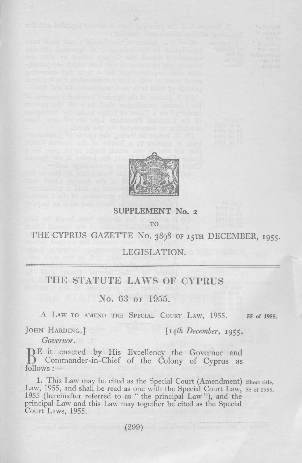

## **SUPPLEMENT No. 2** το

THE CYPRUS GAZETTE No. 3898 OF 15TH DECEMBER, 1955.

## LEGISLATION.

## THE STATUTE LAWS OF CYPRUS

No. 63 or 1955.

A LAW TO AMEND THE SPECIAL COURT LAW, 1955. 55 of 1955.

 $-yz = 16$ 

JOHN HARDING,] *[14th December,* 1955.

*Governor.*

BE it enacted by His Excellency the Governor and<br>B Commander-in-Chief of the Colony of Cyprus as E it enacted by His Excellency the Governor and follows :—

1. This Law may be cited as the Special Court (Amendment) Short title. Law, 1955, and shall be read as one with the Special Court Law, 55 of 1955. 1955 (hereinafter referred to as " the principal Law "), and the principal Law and this Law may together be cited as the Special Court Laws, 1955.